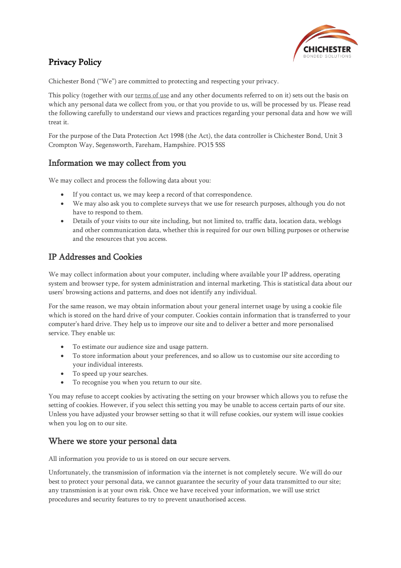

# Privacy Policy

Chichester Bond ("We") are committed to protecting and respecting your privacy.

This policy (together with our [terms](http://www.chichesterbond.co.uk/terms-of-use/) of use and any other documents referred to on it) sets out the basis on which any personal data we collect from you, or that you provide to us, will be processed by us. Please read the following carefully to understand our views and practices regarding your personal data and how we will treat it.

For the purpose of the Data Protection Act 1998 (the Act), the data controller is Chichester Bond, Unit 3 Crompton Way, Segensworth, Fareham, Hampshire. PO15 5SS

### Information we may collect from you

We may collect and process the following data about you:

- If you contact us, we may keep a record of that correspondence.
- We may also ask you to complete surveys that we use for research purposes, although you do not have to respond to them.
- Details of your visits to our site including, but not limited to, traffic data, location data, weblogs and other communication data, whether this is required for our own billing purposes or otherwise and the resources that you access.

## IP Addresses and Cookies

We may collect information about your computer, including where available your IP address, operating system and browser type, for system administration and internal marketing. This is statistical data about our users' browsing actions and patterns, and does not identify any individual.

For the same reason, we may obtain information about your general internet usage by using a cookie file which is stored on the hard drive of your computer. Cookies contain information that is transferred to your computer's hard drive. They help us to improve our site and to deliver a better and more personalised service. They enable us:

- To estimate our audience size and usage pattern.
- To store information about your preferences, and so allow us to customise our site according to your individual interests.
- To speed up your searches.
- To recognise you when you return to our site.

You may refuse to accept cookies by activating the setting on your browser which allows you to refuse the setting of cookies. However, if you select this setting you may be unable to access certain parts of our site. Unless you have adjusted your browser setting so that it will refuse cookies, our system will issue cookies when you log on to our site.

### Where we store your personal data

All information you provide to us is stored on our secure servers.

Unfortunately, the transmission of information via the internet is not completely secure. We will do our best to protect your personal data, we cannot guarantee the security of your data transmitted to our site; any transmission is at your own risk. Once we have received your information, we will use strict procedures and security features to try to prevent unauthorised access.